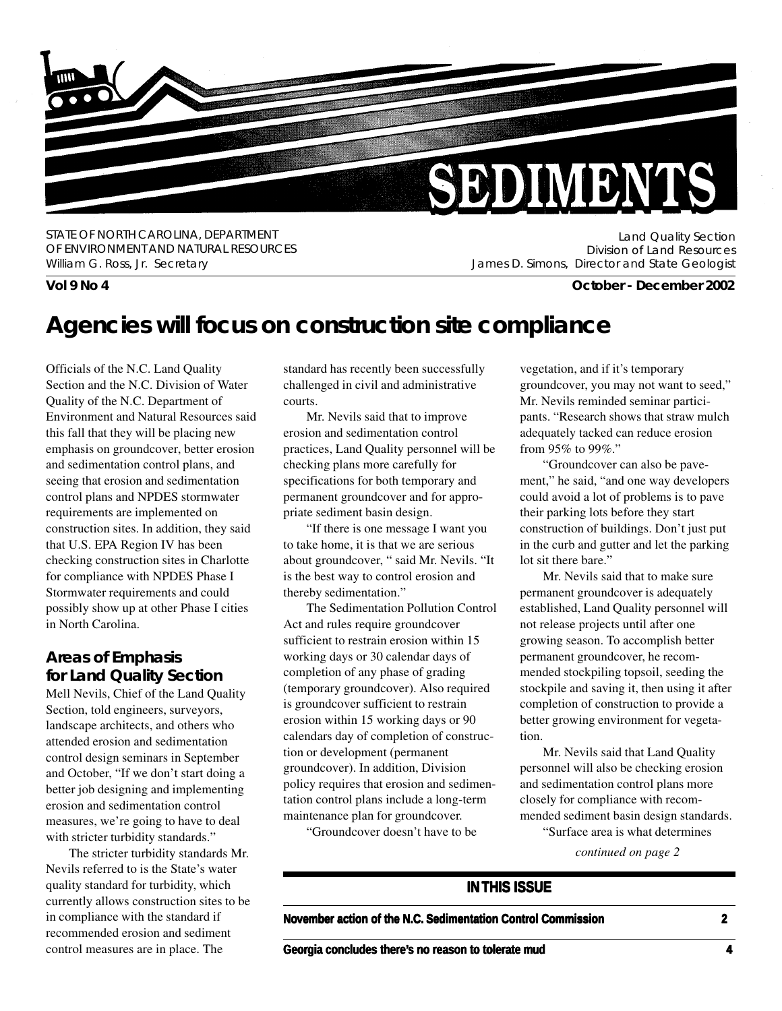

STATE OF NORTH CAROLINA, DEPARTMENT OF ENVIRONMENT AND NATURAL RESOURCES William G. Ross, Jr. Secretary

Land Quality Section Division of Land Resources James D. Simons, Director and State Geologist

**Vol 9 No 4 October - December 2002**

### **Agencies will focus on construction site compliance**

Officials of the N.C. Land Quality Section and the N.C. Division of Water Quality of the N.C. Department of Environment and Natural Resources said this fall that they will be placing new emphasis on groundcover, better erosion and sedimentation control plans, and seeing that erosion and sedimentation control plans and NPDES stormwater requirements are implemented on construction sites. In addition, they said that U.S. EPA Region IV has been checking construction sites in Charlotte for compliance with NPDES Phase I Stormwater requirements and could possibly show up at other Phase I cities in North Carolina.

### **Areas of Emphasis for Land Quality Section**

Mell Nevils, Chief of the Land Quality Section, told engineers, surveyors, landscape architects, and others who attended erosion and sedimentation control design seminars in September and October, "If we don't start doing a better job designing and implementing erosion and sedimentation control measures, we're going to have to deal with stricter turbidity standards."

The stricter turbidity standards Mr. Nevils referred to is the State's water quality standard for turbidity, which currently allows construction sites to be in compliance with the standard if recommended erosion and sediment control measures are in place. The

standard has recently been successfully challenged in civil and administrative courts.

Mr. Nevils said that to improve erosion and sedimentation control practices, Land Quality personnel will be checking plans more carefully for specifications for both temporary and permanent groundcover and for appropriate sediment basin design.

"If there is one message I want you to take home, it is that we are serious about groundcover, " said Mr. Nevils. "It is the best way to control erosion and thereby sedimentation."

The Sedimentation Pollution Control Act and rules require groundcover sufficient to restrain erosion within 15 working days or 30 calendar days of completion of any phase of grading (temporary groundcover). Also required is groundcover sufficient to restrain erosion within 15 working days or 90 calendars day of completion of construction or development (permanent groundcover). In addition, Division policy requires that erosion and sedimentation control plans include a long-term maintenance plan for groundcover.

"Groundcover doesn't have to be

vegetation, and if it's temporary groundcover, you may not want to seed," Mr. Nevils reminded seminar participants. "Research shows that straw mulch adequately tacked can reduce erosion from 95% to 99%."

"Groundcover can also be pavement," he said, "and one way developers could avoid a lot of problems is to pave their parking lots before they start construction of buildings. Don't just put in the curb and gutter and let the parking lot sit there bare."

Mr. Nevils said that to make sure permanent groundcover is adequately established, Land Quality personnel will not release projects until after one growing season. To accomplish better permanent groundcover, he recommended stockpiling topsoil, seeding the stockpile and saving it, then using it after completion of construction to provide a better growing environment for vegetation.

Mr. Nevils said that Land Quality personnel will also be checking erosion and sedimentation control plans more closely for compliance with recommended sediment basin design standards.

"Surface area is what determines

*continued on page 2*

### **IN THIS ISSUE**

**November action of the N.C. Sedimentation Control Commission 2** 

**Georgia concludes there's no reason to tolerate mud**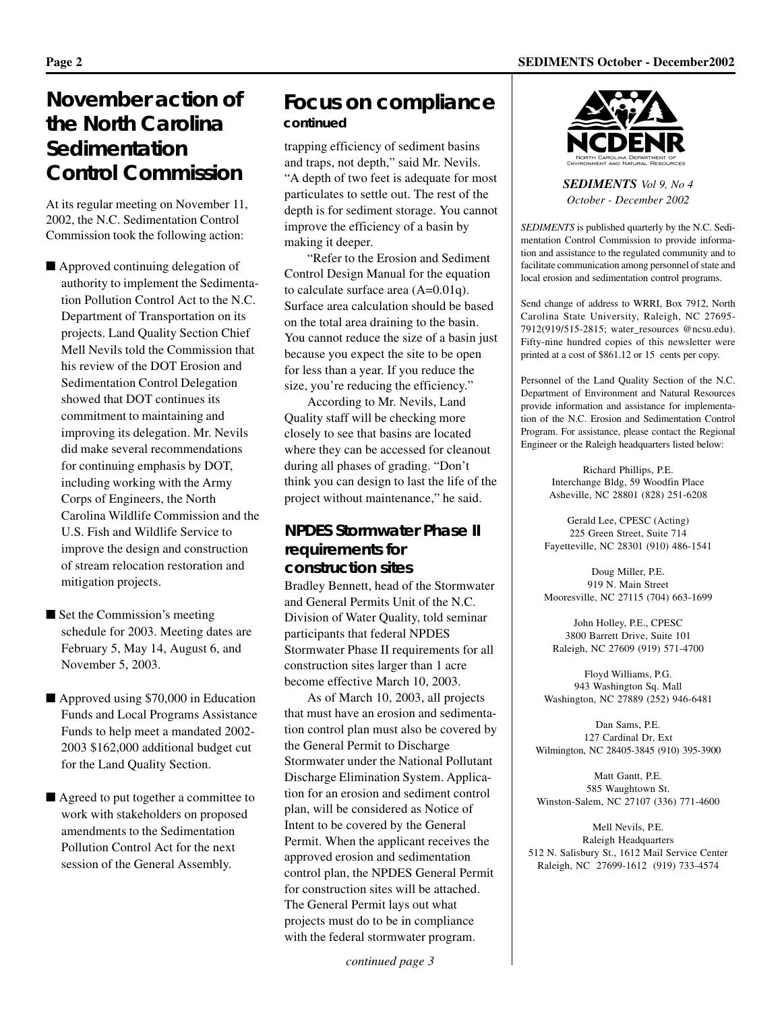### **November action of the North Carolina Sedimentation Control Commission**

At its regular meeting on November 11, 2002, the N.C. Sedimentation Control Commission took the following action:

- Approved continuing delegation of authority to implement the Sedimentation Pollution Control Act to the N.C. Department of Transportation on its projects. Land Quality Section Chief Mell Nevils told the Commission that his review of the DOT Erosion and Sedimentation Control Delegation showed that DOT continues its commitment to maintaining and improving its delegation. Mr. Nevils did make several recommendations for continuing emphasis by DOT, including working with the Army Corps of Engineers, the North Carolina Wildlife Commission and the U.S. Fish and Wildlife Service to improve the design and construction of stream relocation restoration and mitigation projects.
- Set the Commission's meeting schedule for 2003. Meeting dates are February 5, May 14, August 6, and November 5, 2003.
- Approved using \$70,000 in Education Funds and Local Programs Assistance Funds to help meet a mandated 2002- 2003 \$162,000 additional budget cut for the Land Quality Section.
- Agreed to put together a committee to work with stakeholders on proposed amendments to the Sedimentation Pollution Control Act for the next session of the General Assembly.

### **Focus on compliance** *continued*

trapping efficiency of sediment basins and traps, not depth," said Mr. Nevils. "A depth of two feet is adequate for most particulates to settle out. The rest of the depth is for sediment storage. You cannot improve the efficiency of a basin by making it deeper.

"Refer to the Erosion and Sediment Control Design Manual for the equation to calculate surface area (A=0.01q). Surface area calculation should be based on the total area draining to the basin. You cannot reduce the size of a basin just because you expect the site to be open for less than a year. If you reduce the size, you're reducing the efficiency."

According to Mr. Nevils, Land Quality staff will be checking more closely to see that basins are located where they can be accessed for cleanout during all phases of grading. "Don't think you can design to last the life of the project without maintenance," he said.

#### **NPDES Stormwater Phase II requirements for construction sites**

Bradley Bennett, head of the Stormwater and General Permits Unit of the N.C. Division of Water Quality, told seminar participants that federal NPDES Stormwater Phase II requirements for all construction sites larger than 1 acre become effective March 10, 2003.

As of March 10, 2003, all projects that must have an erosion and sedimentation control plan must also be covered by the General Permit to Discharge Stormwater under the National Pollutant Discharge Elimination System. Application for an erosion and sediment control plan, will be considered as Notice of Intent to be covered by the General Permit. When the applicant receives the approved erosion and sedimentation control plan, the NPDES General Permit for construction sites will be attached. The General Permit lays out what projects must do to be in compliance with the federal stormwater program.

*SEDIMENTS Vol 9, No 4 October - December 2002*

*SEDIMENTS* is published quarterly by the N.C. Sedimentation Control Commission to provide information and assistance to the regulated community and to facilitate communication among personnel of state and local erosion and sedimentation control programs.

Send change of address to WRRI, Box 7912, North Carolina State University, Raleigh, NC 27695- 7912(919/515-2815; water\_resources @ncsu.edu). Fifty-nine hundred copies of this newsletter were printed at a cost of \$861.12 or 15 cents per copy.

Personnel of the Land Quality Section of the N.C. Department of Environment and Natural Resources provide information and assistance for implementation of the N.C. Erosion and Sedimentation Control Program. For assistance, please contact the Regional Engineer or the Raleigh headquarters listed below:

> Richard Phillips, P.E. Interchange Bldg, 59 Woodfin Place Asheville, NC 28801 (828) 251-6208

Gerald Lee, CPESC (Acting) 225 Green Street, Suite 714 Fayetteville, NC 28301 (910) 486-1541

Doug Miller, P.E. 919 N. Main Street Mooresville, NC 27115 (704) 663-1699

John Holley, P.E., CPESC 3800 Barrett Drive, Suite 101 Raleigh, NC 27609 (919) 571-4700

Floyd Williams, P.G. 943 Washington Sq. Mall Washington, NC 27889 (252) 946-6481

Dan Sams, P.E. 127 Cardinal Dr, Ext Wilmington, NC 28405-3845 (910) 395-3900

Matt Gantt, P.E. 585 Waughtown St. Winston-Salem, NC 27107 (336) 771-4600

Mell Nevils, P.E. Raleigh Headquarters 512 N. Salisbury St., 1612 Mail Service Center Raleigh, NC 27699-1612 (919) 733-4574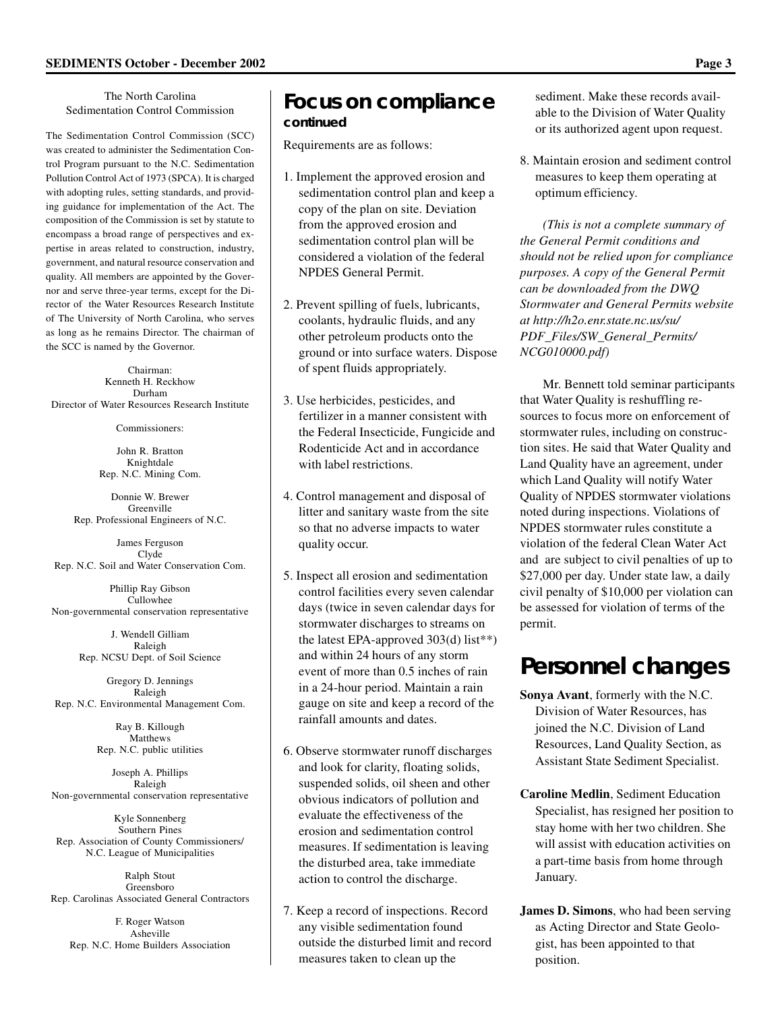The North Carolina Sedimentation Control Commission

The Sedimentation Control Commission (SCC) was created to administer the Sedimentation Control Program pursuant to the N.C. Sedimentation Pollution Control Act of 1973 (SPCA). It is charged with adopting rules, setting standards, and providing guidance for implementation of the Act. The composition of the Commission is set by statute to encompass a broad range of perspectives and expertise in areas related to construction, industry, government, and natural resource conservation and quality. All members are appointed by the Governor and serve three-year terms, except for the Director of the Water Resources Research Institute of The University of North Carolina, who serves as long as he remains Director. The chairman of the SCC is named by the Governor.

Chairman: Kenneth H. Reckhow Durham Director of Water Resources Research Institute

Commissioners:

John R. Bratton Knightdale Rep. N.C. Mining Com.

Donnie W. Brewer Greenville Rep. Professional Engineers of N.C.

James Ferguson Clyde Rep. N.C. Soil and Water Conservation Com.

Phillip Ray Gibson Cullowhee Non-governmental conservation representative

> J. Wendell Gilliam Raleigh Rep. NCSU Dept. of Soil Science

Gregory D. Jennings Raleigh Rep. N.C. Environmental Management Com.

> Ray B. Killough Matthews Rep. N.C. public utilities

Joseph A. Phillips Raleigh Non-governmental conservation representative

Kyle Sonnenberg Southern Pines Rep. Association of County Commissioners/ N.C. League of Municipalities

Ralph Stout Greensboro Rep. Carolinas Associated General Contractors

F. Roger Watson Asheville Rep. N.C. Home Builders Association

### **Focus on compliance** *continued*

Requirements are as follows:

- 1. Implement the approved erosion and sedimentation control plan and keep a copy of the plan on site. Deviation from the approved erosion and sedimentation control plan will be considered a violation of the federal NPDES General Permit.
- 2. Prevent spilling of fuels, lubricants, coolants, hydraulic fluids, and any other petroleum products onto the ground or into surface waters. Dispose of spent fluids appropriately.
- 3. Use herbicides, pesticides, and fertilizer in a manner consistent with the Federal Insecticide, Fungicide and Rodenticide Act and in accordance with label restrictions.
- 4. Control management and disposal of litter and sanitary waste from the site so that no adverse impacts to water quality occur.
- 5. Inspect all erosion and sedimentation control facilities every seven calendar days (twice in seven calendar days for stormwater discharges to streams on the latest EPA-approved 303(d) list\*\*) and within 24 hours of any storm event of more than 0.5 inches of rain in a 24-hour period. Maintain a rain gauge on site and keep a record of the rainfall amounts and dates.
- 6. Observe stormwater runoff discharges and look for clarity, floating solids, suspended solids, oil sheen and other obvious indicators of pollution and evaluate the effectiveness of the erosion and sedimentation control measures. If sedimentation is leaving the disturbed area, take immediate action to control the discharge.
- 7. Keep a record of inspections. Record any visible sedimentation found outside the disturbed limit and record measures taken to clean up the

sediment. Make these records available to the Division of Water Quality or its authorized agent upon request.

8. Maintain erosion and sediment control measures to keep them operating at optimum efficiency.

*(This is not a complete summary of the General Permit conditions and should not be relied upon for compliance purposes. A copy of the General Permit can be downloaded from the DWQ Stormwater and General Permits website at http://h2o.enr.state.nc.us/su/ PDF\_Files/SW\_General\_Permits/ NCG010000.pdf)*

Mr. Bennett told seminar participants that Water Quality is reshuffling resources to focus more on enforcement of stormwater rules, including on construction sites. He said that Water Quality and Land Quality have an agreement, under which Land Quality will notify Water Quality of NPDES stormwater violations noted during inspections. Violations of NPDES stormwater rules constitute a violation of the federal Clean Water Act and are subject to civil penalties of up to \$27,000 per day. Under state law, a daily civil penalty of \$10,000 per violation can be assessed for violation of terms of the permit.

# **Personnel changes**

- **Sonya Avant**, formerly with the N.C. Division of Water Resources, has joined the N.C. Division of Land Resources, Land Quality Section, as Assistant State Sediment Specialist.
- **Caroline Medlin**, Sediment Education Specialist, has resigned her position to stay home with her two children. She will assist with education activities on a part-time basis from home through January.
- **James D. Simons**, who had been serving as Acting Director and State Geologist, has been appointed to that position.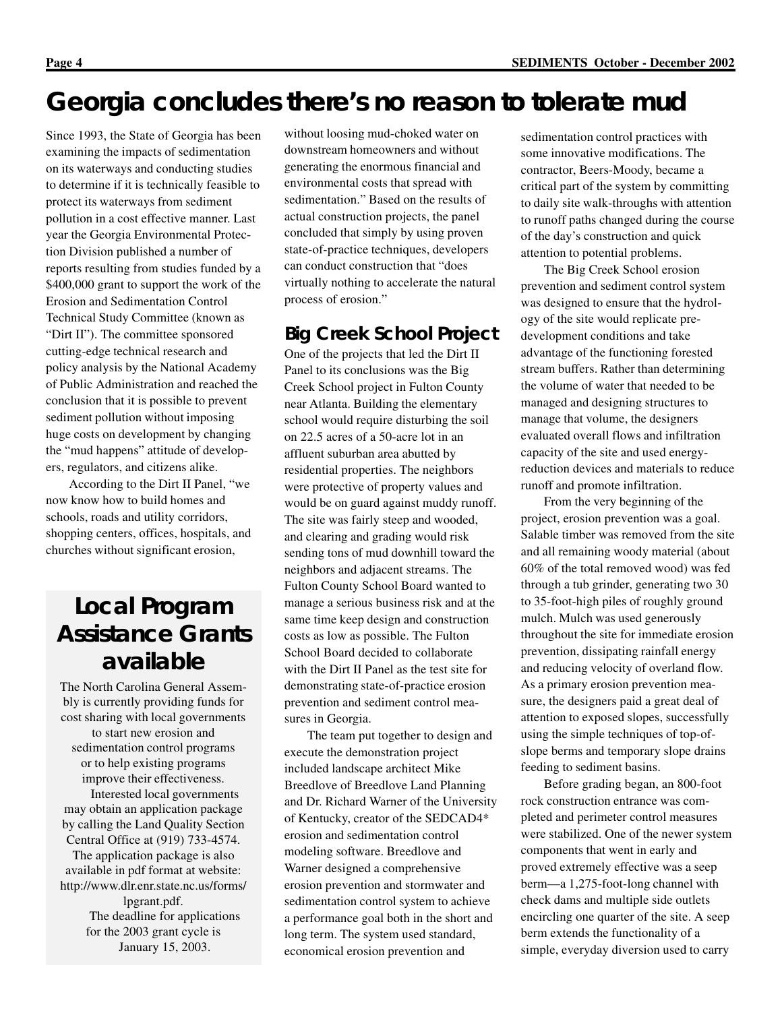# **Georgia concludes there's no reason to tolerate mud**

Since 1993, the State of Georgia has been examining the impacts of sedimentation on its waterways and conducting studies to determine if it is technically feasible to protect its waterways from sediment pollution in a cost effective manner. Last year the Georgia Environmental Protection Division published a number of reports resulting from studies funded by a \$400,000 grant to support the work of the Erosion and Sedimentation Control Technical Study Committee (known as "Dirt II"). The committee sponsored cutting-edge technical research and policy analysis by the National Academy of Public Administration and reached the conclusion that it is possible to prevent sediment pollution without imposing huge costs on development by changing the "mud happens" attitude of developers, regulators, and citizens alike.

According to the Dirt II Panel, "we now know how to build homes and schools, roads and utility corridors, shopping centers, offices, hospitals, and churches without significant erosion,

### **Local Program Assistance Grants available**

The North Carolina General Assembly is currently providing funds for cost sharing with local governments to start new erosion and sedimentation control programs or to help existing programs improve their effectiveness. Interested local governments may obtain an application package by calling the Land Quality Section Central Office at (919) 733-4574. The application package is also available in pdf format at website: http://www.dlr.enr.state.nc.us/forms/ lpgrant.pdf. The deadline for applications for the 2003 grant cycle is January 15, 2003.

without loosing mud-choked water on downstream homeowners and without generating the enormous financial and environmental costs that spread with sedimentation." Based on the results of actual construction projects, the panel concluded that simply by using proven state-of-practice techniques, developers can conduct construction that "does virtually nothing to accelerate the natural process of erosion."

#### **Big Creek School Project**

One of the projects that led the Dirt II Panel to its conclusions was the Big Creek School project in Fulton County near Atlanta. Building the elementary school would require disturbing the soil on 22.5 acres of a 50-acre lot in an affluent suburban area abutted by residential properties. The neighbors were protective of property values and would be on guard against muddy runoff. The site was fairly steep and wooded, and clearing and grading would risk sending tons of mud downhill toward the neighbors and adjacent streams. The Fulton County School Board wanted to manage a serious business risk and at the same time keep design and construction costs as low as possible. The Fulton School Board decided to collaborate with the Dirt II Panel as the test site for demonstrating state-of-practice erosion prevention and sediment control measures in Georgia.

The team put together to design and execute the demonstration project included landscape architect Mike Breedlove of Breedlove Land Planning and Dr. Richard Warner of the University of Kentucky, creator of the SEDCAD4\* erosion and sedimentation control modeling software. Breedlove and Warner designed a comprehensive erosion prevention and stormwater and sedimentation control system to achieve a performance goal both in the short and long term. The system used standard, economical erosion prevention and

sedimentation control practices with some innovative modifications. The contractor, Beers-Moody, became a critical part of the system by committing to daily site walk-throughs with attention to runoff paths changed during the course of the day's construction and quick attention to potential problems.

The Big Creek School erosion prevention and sediment control system was designed to ensure that the hydrology of the site would replicate predevelopment conditions and take advantage of the functioning forested stream buffers. Rather than determining the volume of water that needed to be managed and designing structures to manage that volume, the designers evaluated overall flows and infiltration capacity of the site and used energyreduction devices and materials to reduce runoff and promote infiltration.

From the very beginning of the project, erosion prevention was a goal. Salable timber was removed from the site and all remaining woody material (about 60% of the total removed wood) was fed through a tub grinder, generating two 30 to 35-foot-high piles of roughly ground mulch. Mulch was used generously throughout the site for immediate erosion prevention, dissipating rainfall energy and reducing velocity of overland flow. As a primary erosion prevention measure, the designers paid a great deal of attention to exposed slopes, successfully using the simple techniques of top-ofslope berms and temporary slope drains feeding to sediment basins.

Before grading began, an 800-foot rock construction entrance was completed and perimeter control measures were stabilized. One of the newer system components that went in early and proved extremely effective was a seep berm—a 1,275-foot-long channel with check dams and multiple side outlets encircling one quarter of the site. A seep berm extends the functionality of a simple, everyday diversion used to carry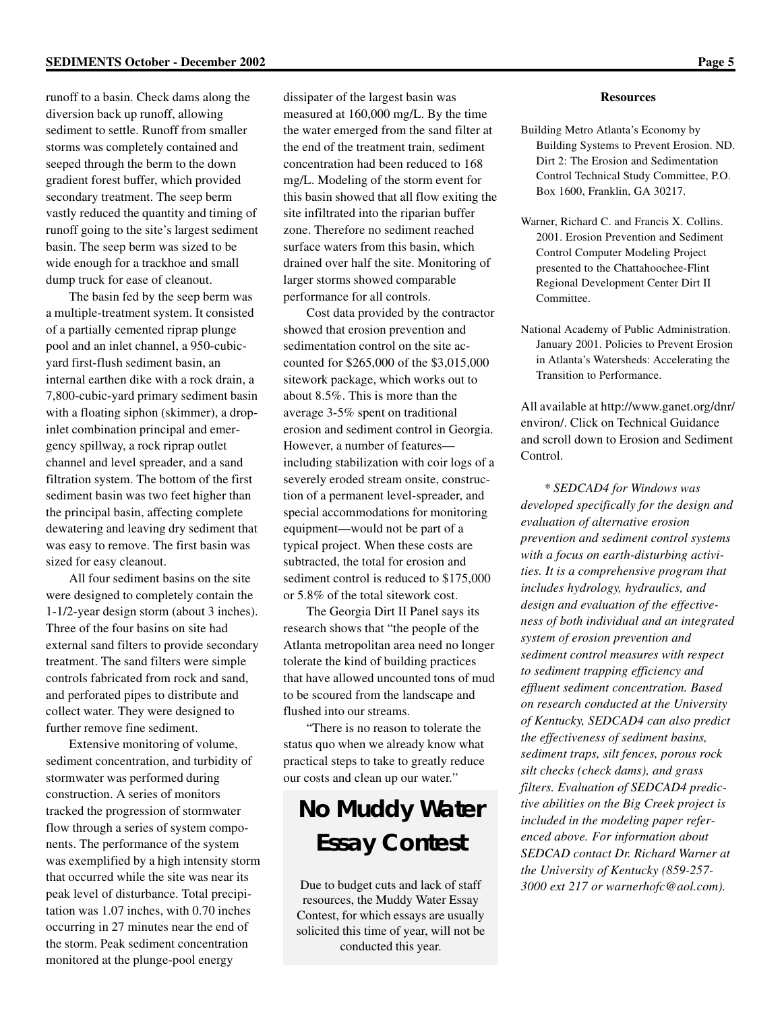runoff to a basin. Check dams along the diversion back up runoff, allowing sediment to settle. Runoff from smaller storms was completely contained and seeped through the berm to the down gradient forest buffer, which provided secondary treatment. The seep berm vastly reduced the quantity and timing of runoff going to the site's largest sediment basin. The seep berm was sized to be wide enough for a trackhoe and small dump truck for ease of cleanout.

The basin fed by the seep berm was a multiple-treatment system. It consisted of a partially cemented riprap plunge pool and an inlet channel, a 950-cubicyard first-flush sediment basin, an internal earthen dike with a rock drain, a 7,800-cubic-yard primary sediment basin with a floating siphon (skimmer), a dropinlet combination principal and emergency spillway, a rock riprap outlet channel and level spreader, and a sand filtration system. The bottom of the first sediment basin was two feet higher than the principal basin, affecting complete dewatering and leaving dry sediment that was easy to remove. The first basin was sized for easy cleanout.

All four sediment basins on the site were designed to completely contain the 1-1/2-year design storm (about 3 inches). Three of the four basins on site had external sand filters to provide secondary treatment. The sand filters were simple controls fabricated from rock and sand, and perforated pipes to distribute and collect water. They were designed to further remove fine sediment.

Extensive monitoring of volume, sediment concentration, and turbidity of stormwater was performed during construction. A series of monitors tracked the progression of stormwater flow through a series of system components. The performance of the system was exemplified by a high intensity storm that occurred while the site was near its peak level of disturbance. Total precipitation was 1.07 inches, with 0.70 inches occurring in 27 minutes near the end of the storm. Peak sediment concentration monitored at the plunge-pool energy

dissipater of the largest basin was measured at 160,000 mg/L. By the time the water emerged from the sand filter at the end of the treatment train, sediment concentration had been reduced to 168 mg/L. Modeling of the storm event for this basin showed that all flow exiting the site infiltrated into the riparian buffer zone. Therefore no sediment reached surface waters from this basin, which drained over half the site. Monitoring of larger storms showed comparable performance for all controls.

Cost data provided by the contractor showed that erosion prevention and sedimentation control on the site accounted for \$265,000 of the \$3,015,000 sitework package, which works out to about 8.5%. This is more than the average 3-5% spent on traditional erosion and sediment control in Georgia. However, a number of features including stabilization with coir logs of a severely eroded stream onsite, construction of a permanent level-spreader, and special accommodations for monitoring equipment—would not be part of a typical project. When these costs are subtracted, the total for erosion and sediment control is reduced to \$175,000 or 5.8% of the total sitework cost.

The Georgia Dirt II Panel says its research shows that "the people of the Atlanta metropolitan area need no longer tolerate the kind of building practices that have allowed uncounted tons of mud to be scoured from the landscape and flushed into our streams.

"There is no reason to tolerate the status quo when we already know what practical steps to take to greatly reduce our costs and clean up our water."

# **No Muddy Water Essay Contest**

Due to budget cuts and lack of staff resources, the Muddy Water Essay Contest, for which essays are usually solicited this time of year, will not be conducted this year.

#### **Resources**

- Building Metro Atlanta's Economy by Building Systems to Prevent Erosion. ND. Dirt 2: The Erosion and Sedimentation Control Technical Study Committee, P.O. Box 1600, Franklin, GA 30217.
- Warner, Richard C. and Francis X. Collins. 2001. Erosion Prevention and Sediment Control Computer Modeling Project presented to the Chattahoochee-Flint Regional Development Center Dirt II Committee.
- National Academy of Public Administration. January 2001. Policies to Prevent Erosion in Atlanta's Watersheds: Accelerating the Transition to Performance.

All available at http://www.ganet.org/dnr/ environ/. Click on Technical Guidance and scroll down to Erosion and Sediment Control.

*\* SEDCAD4 for Windows was developed specifically for the design and evaluation of alternative erosion prevention and sediment control systems with a focus on earth-disturbing activities. It is a comprehensive program that includes hydrology, hydraulics, and design and evaluation of the effectiveness of both individual and an integrated system of erosion prevention and sediment control measures with respect to sediment trapping efficiency and effluent sediment concentration. Based on research conducted at the University of Kentucky, SEDCAD4 can also predict the effectiveness of sediment basins, sediment traps, silt fences, porous rock silt checks (check dams), and grass filters. Evaluation of SEDCAD4 predictive abilities on the Big Creek project is included in the modeling paper referenced above. For information about SEDCAD contact Dr. Richard Warner at the University of Kentucky (859-257- 3000 ext 217 or warnerhofc@aol.com).*